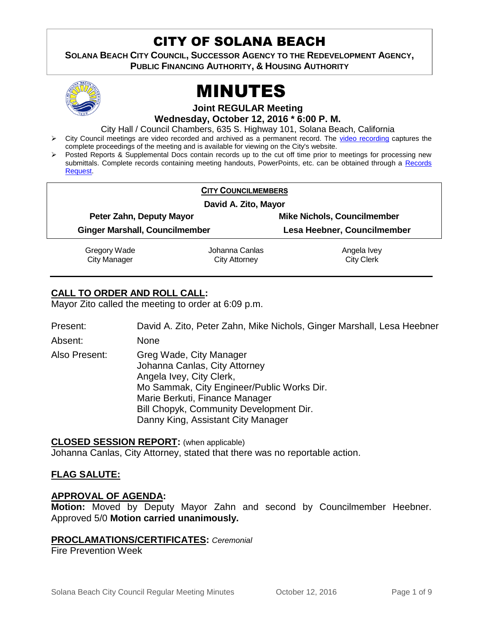# CITY OF SOLANA BEACH

**SOLANA BEACH CITY COUNCIL, SUCCESSOR AGENCY TO THE REDEVELOPMENT AGENCY, PUBLIC FINANCING AUTHORITY, & HOUSING AUTHORITY** 



# MINUTES

**Joint REGULAR Meeting**

**Wednesday, October 12, 2016 \* 6:00 P. M.**

City Hall / Council Chambers, 635 S. Highway 101, Solana Beach, California

- > City Council meetings are video recorded and archived as a permanent record. The [video recording](https://solanabeach.12milesout.com/video/meeting/33bb2efd-ba5e-4131-9518-cfa2aa5afd19) captures the complete proceedings of the meeting and is available for viewing on the City's website.
- Posted Reports & Supplemental Docs contain records up to the cut off time prior to meetings for processing new submittals. Complete records containing meeting handouts, PowerPoints, etc. can be obtained through a [Records](http://www.ci.solana-beach.ca.us/index.asp?SEC=F5D45D10-70CE-4291-A27C-7BD633FC6742&Type=B_BASIC)  [Request.](http://www.ci.solana-beach.ca.us/index.asp?SEC=F5D45D10-70CE-4291-A27C-7BD633FC6742&Type=B_BASIC)

|                                       | <b>CITY COUNCILMEMBERS</b> |                                                                   |  |
|---------------------------------------|----------------------------|-------------------------------------------------------------------|--|
|                                       | David A. Zito, Mayor       |                                                                   |  |
| Peter Zahn, Deputy Mayor              |                            | <b>Mike Nichols, Councilmember</b><br>Lesa Heebner, Councilmember |  |
| <b>Ginger Marshall, Councilmember</b> |                            |                                                                   |  |
| Gregory Wade                          | Johanna Canlas             | Angela Ivey                                                       |  |
| <b>City Manager</b>                   | City Attorney              | <b>City Clerk</b>                                                 |  |

# **CALL TO ORDER AND ROLL CALL:**

Mayor Zito called the meeting to order at 6:09 p.m.

| Present: |  | David A. Zito, Peter Zahn, Mike Nichols, Ginger Marshall, Lesa Heebner |  |
|----------|--|------------------------------------------------------------------------|--|
|          |  |                                                                        |  |

Absent: None

Also Present: Greg Wade, City Manager Johanna Canlas, City Attorney Angela Ivey, City Clerk, Mo Sammak, City Engineer/Public Works Dir. Marie Berkuti, Finance Manager Bill Chopyk, Community Development Dir. Danny King, Assistant City Manager

#### **CLOSED SESSION REPORT:** (when applicable)

Johanna Canlas, City Attorney, stated that there was no reportable action.

# **FLAG SALUTE:**

#### **APPROVAL OF AGENDA:**

**Motion:** Moved by Deputy Mayor Zahn and second by Councilmember Heebner. Approved 5/0 **Motion carried unanimously.**

#### **PROCLAMATIONS/CERTIFICATES:** *Ceremonial*

Fire Prevention Week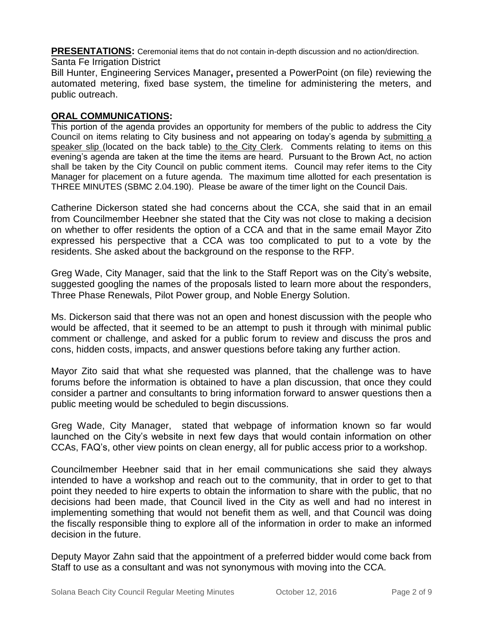**PRESENTATIONS:** Ceremonial items that do not contain in-depth discussion and no action/direction. Santa Fe Irrigation District

Bill Hunter, Engineering Services Manager**,** presented a PowerPoint (on file) reviewing the automated metering, fixed base system, the timeline for administering the meters, and public outreach.

# **ORAL COMMUNICATIONS:**

This portion of the agenda provides an opportunity for members of the public to address the City Council on items relating to City business and not appearing on today's agenda by submitting a speaker slip (located on the back table) to the City Clerk. Comments relating to items on this evening's agenda are taken at the time the items are heard. Pursuant to the Brown Act, no action shall be taken by the City Council on public comment items. Council may refer items to the City Manager for placement on a future agenda. The maximum time allotted for each presentation is THREE MINUTES (SBMC 2.04.190). Please be aware of the timer light on the Council Dais.

Catherine Dickerson stated she had concerns about the CCA, she said that in an email from Councilmember Heebner she stated that the City was not close to making a decision on whether to offer residents the option of a CCA and that in the same email Mayor Zito expressed his perspective that a CCA was too complicated to put to a vote by the residents. She asked about the background on the response to the RFP.

Greg Wade, City Manager, said that the link to the Staff Report was on the City's website, suggested googling the names of the proposals listed to learn more about the responders, Three Phase Renewals, Pilot Power group, and Noble Energy Solution.

Ms. Dickerson said that there was not an open and honest discussion with the people who would be affected, that it seemed to be an attempt to push it through with minimal public comment or challenge, and asked for a public forum to review and discuss the pros and cons, hidden costs, impacts, and answer questions before taking any further action.

Mayor Zito said that what she requested was planned, that the challenge was to have forums before the information is obtained to have a plan discussion, that once they could consider a partner and consultants to bring information forward to answer questions then a public meeting would be scheduled to begin discussions.

Greg Wade, City Manager, stated that webpage of information known so far would launched on the City's website in next few days that would contain information on other CCAs, FAQ's, other view points on clean energy, all for public access prior to a workshop.

Councilmember Heebner said that in her email communications she said they always intended to have a workshop and reach out to the community, that in order to get to that point they needed to hire experts to obtain the information to share with the public, that no decisions had been made, that Council lived in the City as well and had no interest in implementing something that would not benefit them as well, and that Council was doing the fiscally responsible thing to explore all of the information in order to make an informed decision in the future.

Deputy Mayor Zahn said that the appointment of a preferred bidder would come back from Staff to use as a consultant and was not synonymous with moving into the CCA.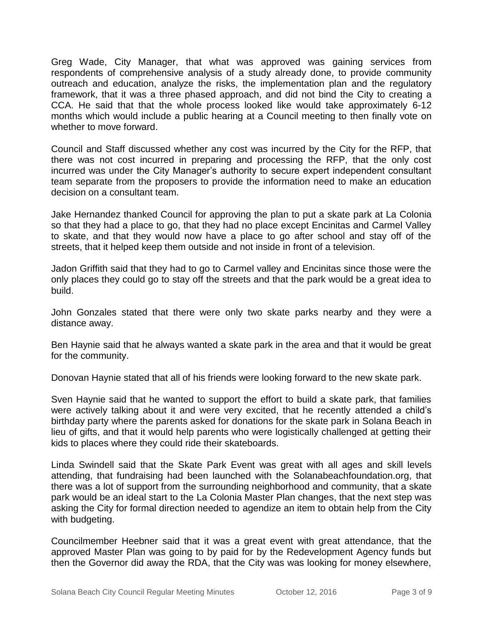Greg Wade, City Manager, that what was approved was gaining services from respondents of comprehensive analysis of a study already done, to provide community outreach and education, analyze the risks, the implementation plan and the regulatory framework, that it was a three phased approach, and did not bind the City to creating a CCA. He said that that the whole process looked like would take approximately 6-12 months which would include a public hearing at a Council meeting to then finally vote on whether to move forward.

Council and Staff discussed whether any cost was incurred by the City for the RFP, that there was not cost incurred in preparing and processing the RFP, that the only cost incurred was under the City Manager's authority to secure expert independent consultant team separate from the proposers to provide the information need to make an education decision on a consultant team.

Jake Hernandez thanked Council for approving the plan to put a skate park at La Colonia so that they had a place to go, that they had no place except Encinitas and Carmel Valley to skate, and that they would now have a place to go after school and stay off of the streets, that it helped keep them outside and not inside in front of a television.

Jadon Griffith said that they had to go to Carmel valley and Encinitas since those were the only places they could go to stay off the streets and that the park would be a great idea to build.

John Gonzales stated that there were only two skate parks nearby and they were a distance away.

Ben Haynie said that he always wanted a skate park in the area and that it would be great for the community.

Donovan Haynie stated that all of his friends were looking forward to the new skate park.

Sven Haynie said that he wanted to support the effort to build a skate park, that families were actively talking about it and were very excited, that he recently attended a child's birthday party where the parents asked for donations for the skate park in Solana Beach in lieu of gifts, and that it would help parents who were logistically challenged at getting their kids to places where they could ride their skateboards.

Linda Swindell said that the Skate Park Event was great with all ages and skill levels attending, that fundraising had been launched with the Solanabeachfoundation.org, that there was a lot of support from the surrounding neighborhood and community, that a skate park would be an ideal start to the La Colonia Master Plan changes, that the next step was asking the City for formal direction needed to agendize an item to obtain help from the City with budgeting.

Councilmember Heebner said that it was a great event with great attendance, that the approved Master Plan was going to by paid for by the Redevelopment Agency funds but then the Governor did away the RDA, that the City was was looking for money elsewhere,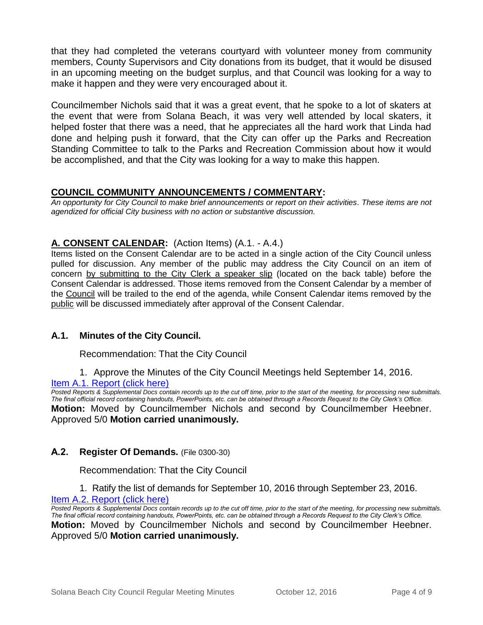that they had completed the veterans courtyard with volunteer money from community members, County Supervisors and City donations from its budget, that it would be disused in an upcoming meeting on the budget surplus, and that Council was looking for a way to make it happen and they were very encouraged about it.

Councilmember Nichols said that it was a great event, that he spoke to a lot of skaters at the event that were from Solana Beach, it was very well attended by local skaters, it helped foster that there was a need, that he appreciates all the hard work that Linda had done and helping push it forward, that the City can offer up the Parks and Recreation Standing Committee to talk to the Parks and Recreation Commission about how it would be accomplished, and that the City was looking for a way to make this happen.

# **COUNCIL COMMUNITY ANNOUNCEMENTS / COMMENTARY:**

*An opportunity for City Council to make brief announcements or report on their activities. These items are not agendized for official City business with no action or substantive discussion.* 

# **A. CONSENT CALENDAR:** (Action Items) (A.1. - A.4.)

Items listed on the Consent Calendar are to be acted in a single action of the City Council unless pulled for discussion. Any member of the public may address the City Council on an item of concern by submitting to the City Clerk a speaker slip (located on the back table) before the Consent Calendar is addressed. Those items removed from the Consent Calendar by a member of the Council will be trailed to the end of the agenda, while Consent Calendar items removed by the public will be discussed immediately after approval of the Consent Calendar.

#### **A.1. Minutes of the City Council.**

Recommendation: That the City Council

1. Approve the Minutes of the City Council Meetings held September 14, 2016.

#### [Item A.1. Report \(click here\)](https://solanabeach.govoffice3.com/vertical/Sites/%7B840804C2-F869-4904-9AE3-720581350CE7%7D/uploads/Item_A.1._Report_(click_here)_-_10-12-16.PDF)

**Posted Reports & Supplemental Docs contain records up to the cut off time, prior to the start of the meeting, for processing new submittals.** *The final official record containing handouts, PowerPoints, etc. can be obtained through a Records Request to the City Clerk's Office.*

**Motion:** Moved by Councilmember Nichols and second by Councilmember Heebner. Approved 5/0 **Motion carried unanimously.**

#### **A.2. Register Of Demands.** (File 0300-30)

Recommendation: That the City Council

1. Ratify the list of demands for September 10, 2016 through September 23, 2016. [Item A.2. Report \(click here\)](https://solanabeach.govoffice3.com/vertical/Sites/%7B840804C2-F869-4904-9AE3-720581350CE7%7D/uploads/Item_A.2._Report_(click_here)_-_10-12-16.pdf)

*Posted Reports & Supplemental Docs contain records up to the cut off time, prior to the start of the meeting, for processing new submittals. The final official record containing handouts, PowerPoints, etc. can be obtained through a Records Request to the City Clerk's Office.* **Motion:** Moved by Councilmember Nichols and second by Councilmember Heebner. Approved 5/0 **Motion carried unanimously.**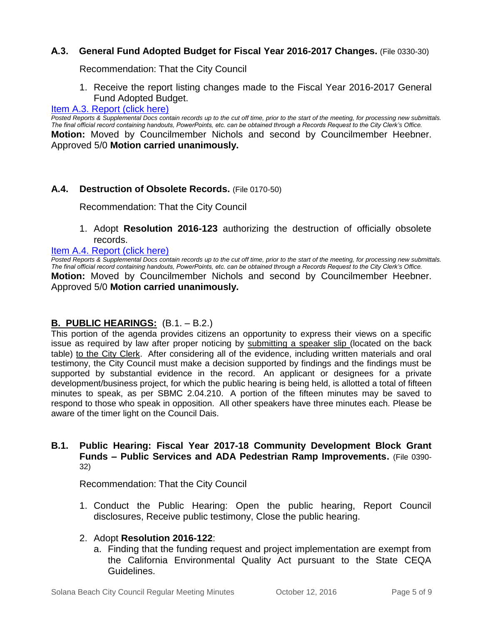#### **A.3. General Fund Adopted Budget for Fiscal Year 2016-2017 Changes.** (File 0330-30)

Recommendation: That the City Council

1. Receive the report listing changes made to the Fiscal Year 2016-2017 General Fund Adopted Budget.

#### [Item A.3. Report \(click here\)](https://solanabeach.govoffice3.com/vertical/Sites/%7B840804C2-F869-4904-9AE3-720581350CE7%7D/uploads/Item_A.3._Report_(click_here)_-_10-12-16.pdf)

*Posted Reports & Supplemental Docs contain records up to the cut off time, prior to the start of the meeting, for processing new submittals. The final official record containing handouts, PowerPoints, etc. can be obtained through a Records Request to the City Clerk's Office.* **Motion:** Moved by Councilmember Nichols and second by Councilmember Heebner. Approved 5/0 **Motion carried unanimously.**

#### **A.4. Destruction of Obsolete Records.** (File 0170-50)

Recommendation: That the City Council

1. Adopt **Resolution 2016-123** authorizing the destruction of officially obsolete records.

#### [Item A.4. Report \(click here\)](https://solanabeach.govoffice3.com/vertical/Sites/%7B840804C2-F869-4904-9AE3-720581350CE7%7D/uploads/Item_A.4._Report_(click_here)_-_10-12-16.pdf)

*Posted Reports & Supplemental Docs contain records up to the cut off time, prior to the start of the meeting, for processing new submittals. The final official record containing handouts, PowerPoints, etc. can be obtained through a Records Request to the City Clerk's Office.* **Motion:** Moved by Councilmember Nichols and second by Councilmember Heebner. Approved 5/0 **Motion carried unanimously.**

# **B. PUBLIC HEARINGS:** (B.1. – B.2.)

This portion of the agenda provides citizens an opportunity to express their views on a specific issue as required by law after proper noticing by submitting a speaker slip (located on the back table) to the City Clerk. After considering all of the evidence, including written materials and oral testimony, the City Council must make a decision supported by findings and the findings must be supported by substantial evidence in the record. An applicant or designees for a private development/business project, for which the public hearing is being held, is allotted a total of fifteen minutes to speak, as per SBMC 2.04.210. A portion of the fifteen minutes may be saved to respond to those who speak in opposition. All other speakers have three minutes each. Please be aware of the timer light on the Council Dais.

#### **B.1. Public Hearing: Fiscal Year 2017-18 Community Development Block Grant Funds – Public Services and ADA Pedestrian Ramp Improvements.** (File 0390- 32)

Recommendation: That the City Council

1. Conduct the Public Hearing: Open the public hearing, Report Council disclosures, Receive public testimony, Close the public hearing.

#### 2. Adopt **Resolution 2016-122**:

a. Finding that the funding request and project implementation are exempt from the California Environmental Quality Act pursuant to the State CEQA Guidelines.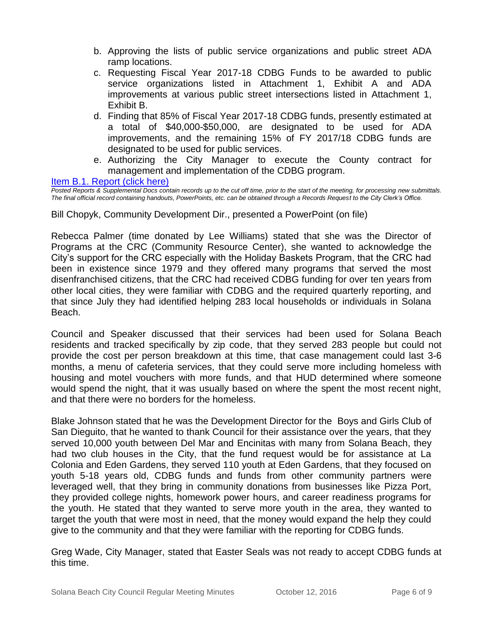- b. Approving the lists of public service organizations and public street ADA ramp locations.
- c. Requesting Fiscal Year 2017-18 CDBG Funds to be awarded to public service organizations listed in Attachment 1, Exhibit A and ADA improvements at various public street intersections listed in Attachment 1, Exhibit B.
- d. Finding that 85% of Fiscal Year 2017-18 CDBG funds, presently estimated at a total of \$40,000-\$50,000, are designated to be used for ADA improvements, and the remaining 15% of FY 2017/18 CDBG funds are designated to be used for public services.
- e. Authorizing the City Manager to execute the County contract for management and implementation of the CDBG program.

[Item B.1. Report \(click here\)](https://solanabeach.govoffice3.com/vertical/Sites/%7B840804C2-F869-4904-9AE3-720581350CE7%7D/uploads/Item_B.1._Report_(click_here)_-_10-12-16.pdf)

*Posted Reports & Supplemental Docs contain records up to the cut off time, prior to the start of the meeting, for processing new submittals. The final official record containing handouts, PowerPoints, etc. can be obtained through a Records Request to the City Clerk's Office.*

Bill Chopyk, Community Development Dir., presented a PowerPoint (on file)

Rebecca Palmer (time donated by Lee Williams) stated that she was the Director of Programs at the CRC (Community Resource Center), she wanted to acknowledge the City's support for the CRC especially with the Holiday Baskets Program, that the CRC had been in existence since 1979 and they offered many programs that served the most disenfranchised citizens, that the CRC had received CDBG funding for over ten years from other local cities, they were familiar with CDBG and the required quarterly reporting, and that since July they had identified helping 283 local households or individuals in Solana Beach.

Council and Speaker discussed that their services had been used for Solana Beach residents and tracked specifically by zip code, that they served 283 people but could not provide the cost per person breakdown at this time, that case management could last 3-6 months, a menu of cafeteria services, that they could serve more including homeless with housing and motel vouchers with more funds, and that HUD determined where someone would spend the night, that it was usually based on where the spent the most recent night, and that there were no borders for the homeless.

Blake Johnson stated that he was the Development Director for the Boys and Girls Club of San Dieguito, that he wanted to thank Council for their assistance over the years, that they served 10,000 youth between Del Mar and Encinitas with many from Solana Beach, they had two club houses in the City, that the fund request would be for assistance at La Colonia and Eden Gardens, they served 110 youth at Eden Gardens, that they focused on youth 5-18 years old, CDBG funds and funds from other community partners were leveraged well, that they bring in community donations from businesses like Pizza Port, they provided college nights, homework power hours, and career readiness programs for the youth. He stated that they wanted to serve more youth in the area, they wanted to target the youth that were most in need, that the money would expand the help they could give to the community and that they were familiar with the reporting for CDBG funds.

Greg Wade, City Manager, stated that Easter Seals was not ready to accept CDBG funds at this time.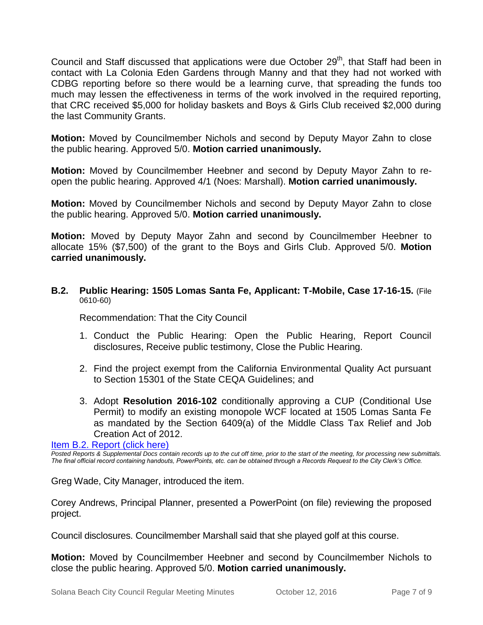Council and Staff discussed that applications were due October 29<sup>th</sup>, that Staff had been in contact with La Colonia Eden Gardens through Manny and that they had not worked with CDBG reporting before so there would be a learning curve, that spreading the funds too much may lessen the effectiveness in terms of the work involved in the required reporting, that CRC received \$5,000 for holiday baskets and Boys & Girls Club received \$2,000 during the last Community Grants.

**Motion:** Moved by Councilmember Nichols and second by Deputy Mayor Zahn to close the public hearing. Approved 5/0. **Motion carried unanimously.**

**Motion:** Moved by Councilmember Heebner and second by Deputy Mayor Zahn to reopen the public hearing. Approved 4/1 (Noes: Marshall). **Motion carried unanimously.**

**Motion:** Moved by Councilmember Nichols and second by Deputy Mayor Zahn to close the public hearing. Approved 5/0. **Motion carried unanimously.**

**Motion:** Moved by Deputy Mayor Zahn and second by Councilmember Heebner to allocate 15% (\$7,500) of the grant to the Boys and Girls Club. Approved 5/0. **Motion carried unanimously.**

**B.2. Public Hearing: 1505 Lomas Santa Fe, Applicant: T-Mobile, Case 17-16-15.** (File 0610-60)

Recommendation: That the City Council

- 1. Conduct the Public Hearing: Open the Public Hearing, Report Council disclosures, Receive public testimony, Close the Public Hearing.
- 2. Find the project exempt from the California Environmental Quality Act pursuant to Section 15301 of the State CEQA Guidelines; and
- 3. Adopt **Resolution 2016-102** conditionally approving a CUP (Conditional Use Permit) to modify an existing monopole WCF located at 1505 Lomas Santa Fe as mandated by the Section 6409(a) of the Middle Class Tax Relief and Job Creation Act of 2012.

[Item B.2. Report \(click here\)](https://solanabeach.govoffice3.com/vertical/Sites/%7B840804C2-F869-4904-9AE3-720581350CE7%7D/uploads/Item_B.2._Report_(click_here)_-_10-12-16.pdf)

*Posted Reports & Supplemental Docs contain records up to the cut off time, prior to the start of the meeting, for processing new submittals. The final official record containing handouts, PowerPoints, etc. can be obtained through a Records Request to the City Clerk's Office.*

Greg Wade, City Manager, introduced the item.

Corey Andrews, Principal Planner, presented a PowerPoint (on file) reviewing the proposed project.

Council disclosures. Councilmember Marshall said that she played golf at this course.

**Motion:** Moved by Councilmember Heebner and second by Councilmember Nichols to close the public hearing. Approved 5/0. **Motion carried unanimously.**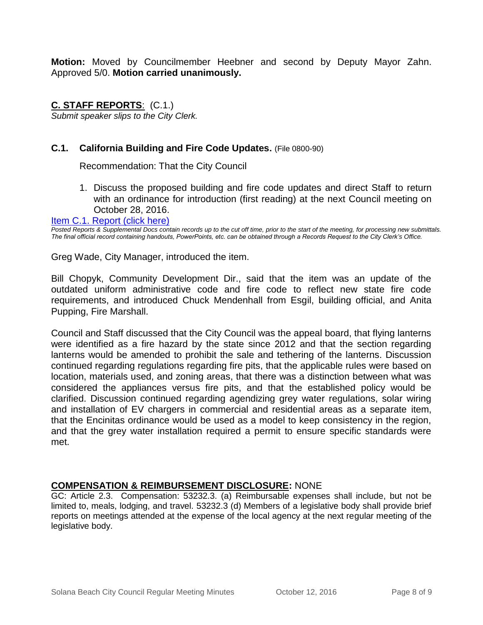**Motion:** Moved by Councilmember Heebner and second by Deputy Mayor Zahn. Approved 5/0. **Motion carried unanimously.**

**C. STAFF REPORTS**: (C.1.) *Submit speaker slips to the City Clerk.*

# **C.1. California Building and Fire Code Updates.** (File 0800-90)

Recommendation: That the City Council

1. Discuss the proposed building and fire code updates and direct Staff to return with an ordinance for introduction (first reading) at the next Council meeting on October 28, 2016.

#### [Item C.1. Report \(click here\)](https://solanabeach.govoffice3.com/vertical/Sites/%7B840804C2-F869-4904-9AE3-720581350CE7%7D/uploads/Item_C.1._Report_(click_here)_-_10-12-16.pdf)

*Posted Reports & Supplemental Docs contain records up to the cut off time, prior to the start of the meeting, for processing new submittals. The final official record containing handouts, PowerPoints, etc. can be obtained through a Records Request to the City Clerk's Office.*

Greg Wade, City Manager, introduced the item.

Bill Chopyk, Community Development Dir., said that the item was an update of the outdated uniform administrative code and fire code to reflect new state fire code requirements, and introduced Chuck Mendenhall from Esgil, building official, and Anita Pupping, Fire Marshall.

Council and Staff discussed that the City Council was the appeal board, that flying lanterns were identified as a fire hazard by the state since 2012 and that the section regarding lanterns would be amended to prohibit the sale and tethering of the lanterns. Discussion continued regarding regulations regarding fire pits, that the applicable rules were based on location, materials used, and zoning areas, that there was a distinction between what was considered the appliances versus fire pits, and that the established policy would be clarified. Discussion continued regarding agendizing grey water regulations, solar wiring and installation of EV chargers in commercial and residential areas as a separate item, that the Encinitas ordinance would be used as a model to keep consistency in the region, and that the grey water installation required a permit to ensure specific standards were met.

#### **COMPENSATION & REIMBURSEMENT DISCLOSURE:** NONE

GC: Article 2.3. Compensation: 53232.3. (a) Reimbursable expenses shall include, but not be limited to, meals, lodging, and travel. 53232.3 (d) Members of a legislative body shall provide brief reports on meetings attended at the expense of the local agency at the next regular meeting of the legislative body.